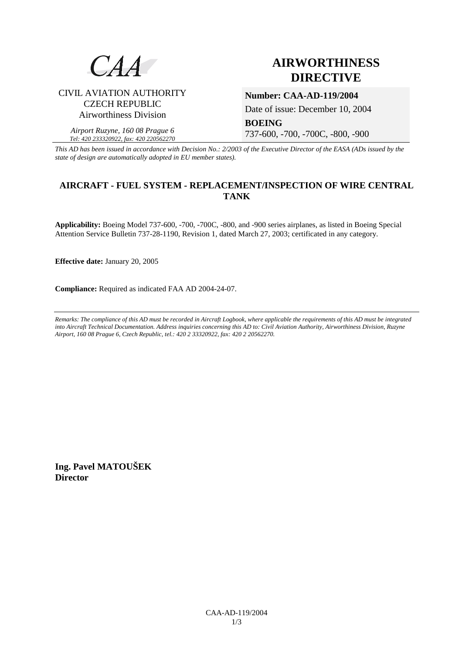

# **AIRWORTHINESS DIRECTIVE**

## CIVIL AVIATION AUTHORITY CZECH REPUBLIC Airworthiness Division

*Airport Ruzyne, 160 08 Prague 6 Tel: 420 233320922, fax: 420 220562270*

### **Number: CAA-AD-119/2004**

Date of issue: December 10, 2004

**BOEING**  737-600, -700, -700C, -800, -900

*This AD has been issued in accordance with Decision No.: 2/2003 of the Executive Director of the EASA (ADs issued by the state of design are automatically adopted in EU member states).*

## **AIRCRAFT - FUEL SYSTEM - REPLACEMENT/INSPECTION OF WIRE CENTRAL TANK**

**Applicability:** Boeing Model 737-600, -700, -700C, -800, and -900 series airplanes, as listed in Boeing Special Attention Service Bulletin 737-28-1190, Revision 1, dated March 27, 2003; certificated in any category.

**Effective date:** January 20, 2005

**Compliance:** Required as indicated FAA AD 2004-24-07.

*Remarks: The compliance of this AD must be recorded in Aircraft Logbook, where applicable the requirements of this AD must be integrated into Aircraft Technical Documentation. Address inquiries concerning this AD to: Civil Aviation Authority, Airworthiness Division, Ruzyne Airport, 160 08 Prague 6, Czech Republic, tel.: 420 2 33320922, fax: 420 2 20562270.* 

**Ing. Pavel MATOUŠEK Director**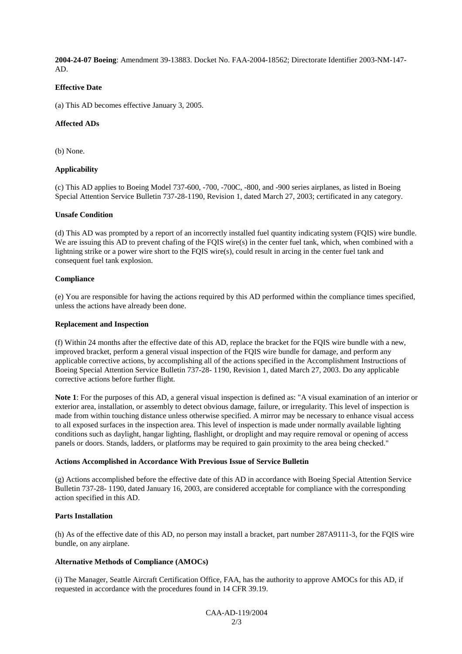**2004-24-07 Boeing**: Amendment 39-13883. Docket No. FAA-2004-18562; Directorate Identifier 2003-NM-147- AD.

#### **Effective Date**

(a) This AD becomes effective January 3, 2005.

#### **Affected ADs**

(b) None.

#### **Applicability**

(c) This AD applies to Boeing Model 737-600, -700, -700C, -800, and -900 series airplanes, as listed in Boeing Special Attention Service Bulletin 737-28-1190, Revision 1, dated March 27, 2003; certificated in any category.

#### **Unsafe Condition**

(d) This AD was prompted by a report of an incorrectly installed fuel quantity indicating system (FQIS) wire bundle. We are issuing this AD to prevent chafing of the FQIS wire(s) in the center fuel tank, which, when combined with a lightning strike or a power wire short to the FQIS wire(s), could result in arcing in the center fuel tank and consequent fuel tank explosion.

#### **Compliance**

(e) You are responsible for having the actions required by this AD performed within the compliance times specified, unless the actions have already been done.

#### **Replacement and Inspection**

(f) Within 24 months after the effective date of this AD, replace the bracket for the FQIS wire bundle with a new, improved bracket, perform a general visual inspection of the FQIS wire bundle for damage, and perform any applicable corrective actions, by accomplishing all of the actions specified in the Accomplishment Instructions of Boeing Special Attention Service Bulletin 737-28- 1190, Revision 1, dated March 27, 2003. Do any applicable corrective actions before further flight.

**Note 1**: For the purposes of this AD, a general visual inspection is defined as: "A visual examination of an interior or exterior area, installation, or assembly to detect obvious damage, failure, or irregularity. This level of inspection is made from within touching distance unless otherwise specified. A mirror may be necessary to enhance visual access to all exposed surfaces in the inspection area. This level of inspection is made under normally available lighting conditions such as daylight, hangar lighting, flashlight, or droplight and may require removal or opening of access panels or doors. Stands, ladders, or platforms may be required to gain proximity to the area being checked."

#### **Actions Accomplished in Accordance With Previous Issue of Service Bulletin**

(g) Actions accomplished before the effective date of this AD in accordance with Boeing Special Attention Service Bulletin 737-28- 1190, dated January 16, 2003, are considered acceptable for compliance with the corresponding action specified in this AD.

#### **Parts Installation**

(h) As of the effective date of this AD, no person may install a bracket, part number 287A9111-3, for the FQIS wire bundle, on any airplane.

#### **Alternative Methods of Compliance (AMOCs)**

(i) The Manager, Seattle Aircraft Certification Office, FAA, has the authority to approve AMOCs for this AD, if requested in accordance with the procedures found in 14 CFR 39.19.